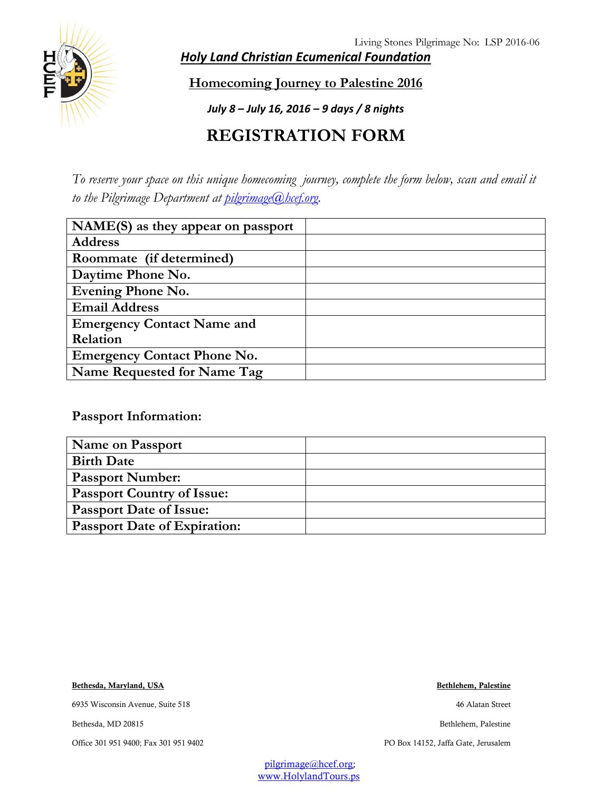Living Stones Pilgrimage No: LSP 2016-06



*Holy Land Christian Ecumenical Foundation*

**Homecoming Journey to Palestine 2016**

*July 8 – July 16, 2016 – 9 days / 8 nights*

## **REGISTRATION FORM**

*To reserve your space on this unique homecoming journey, complete the form below, scan and email it to the Pilgrimage Department at [pilgrimage@hcef.org.](mailto:pilgrimage@hcef.org)*

| $NAME(S)$ as they appear on passport |  |
|--------------------------------------|--|
| <b>Address</b>                       |  |
| Roommate (if determined)             |  |
| Daytime Phone No.                    |  |
| <b>Evening Phone No.</b>             |  |
| <b>Email Address</b>                 |  |
| <b>Emergency Contact Name and</b>    |  |
| Relation                             |  |
| <b>Emergency Contact Phone No.</b>   |  |
| Name Requested for Name Tag          |  |

**Passport Information:**

| <b>Name on Passport</b>             |  |
|-------------------------------------|--|
| <b>Birth Date</b>                   |  |
| <b>Passport Number:</b>             |  |
| <b>Passport Country of Issue:</b>   |  |
| <b>Passport Date of Issue:</b>      |  |
| <b>Passport Date of Expiration:</b> |  |

**Bethesda, Maryland, USA Bethlehem, Palestine**

6935 Wisconsin Avenue, Suite 518 46 Alatan Street

Bethesda, MD 20815 Bethlehem, Palestine

Office 301 951 9400; Fax 301 951 9402 PO Box 14152, Jaffa Gate, Jerusalem